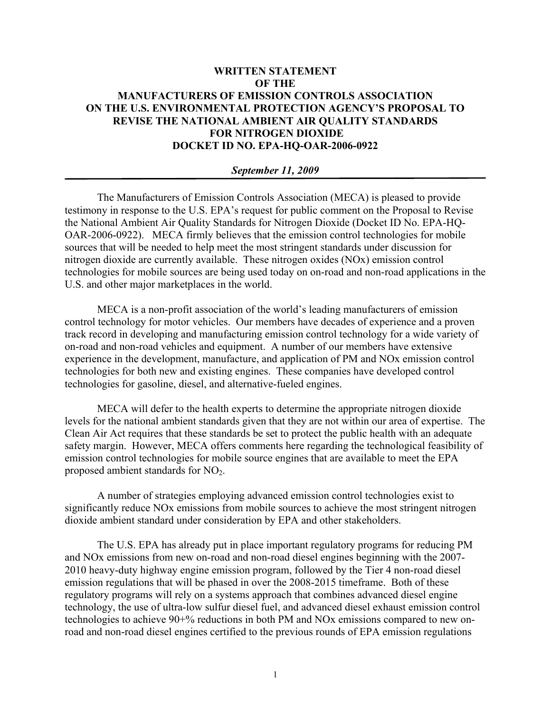## **WRITTEN STATEMENT OF THE MANUFACTURERS OF EMISSION CONTROLS ASSOCIATION ON THE U.S. ENVIRONMENTAL PROTECTION AGENCY'S PROPOSAL TO REVISE THE NATIONAL AMBIENT AIR QUALITY STANDARDS FOR NITROGEN DIOXIDE DOCKET ID NO. EPA-HQ-OAR-2006-0922**

## *September 11, 2009*

The Manufacturers of Emission Controls Association (MECA) is pleased to provide testimony in response to the U.S. EPA's request for public comment on the Proposal to Revise the National Ambient Air Quality Standards for Nitrogen Dioxide (Docket ID No. EPA-HQ-OAR-2006-0922). MECA firmly believes that the emission control technologies for mobile sources that will be needed to help meet the most stringent standards under discussion for nitrogen dioxide are currently available. These nitrogen oxides (NOx) emission control technologies for mobile sources are being used today on on-road and non-road applications in the U.S. and other major marketplaces in the world.

MECA is a non-profit association of the world's leading manufacturers of emission control technology for motor vehicles. Our members have decades of experience and a proven track record in developing and manufacturing emission control technology for a wide variety of on-road and non-road vehicles and equipment. A number of our members have extensive experience in the development, manufacture, and application of PM and NOx emission control technologies for both new and existing engines. These companies have developed control technologies for gasoline, diesel, and alternative-fueled engines.

MECA will defer to the health experts to determine the appropriate nitrogen dioxide levels for the national ambient standards given that they are not within our area of expertise. The Clean Air Act requires that these standards be set to protect the public health with an adequate safety margin. However, MECA offers comments here regarding the technological feasibility of emission control technologies for mobile source engines that are available to meet the EPA proposed ambient standards for  $NO<sub>2</sub>$ .

A number of strategies employing advanced emission control technologies exist to significantly reduce NOx emissions from mobile sources to achieve the most stringent nitrogen dioxide ambient standard under consideration by EPA and other stakeholders.

The U.S. EPA has already put in place important regulatory programs for reducing PM and NOx emissions from new on-road and non-road diesel engines beginning with the 2007- 2010 heavy-duty highway engine emission program, followed by the Tier 4 non-road diesel emission regulations that will be phased in over the 2008-2015 timeframe. Both of these regulatory programs will rely on a systems approach that combines advanced diesel engine technology, the use of ultra-low sulfur diesel fuel, and advanced diesel exhaust emission control technologies to achieve 90+% reductions in both PM and NOx emissions compared to new onroad and non-road diesel engines certified to the previous rounds of EPA emission regulations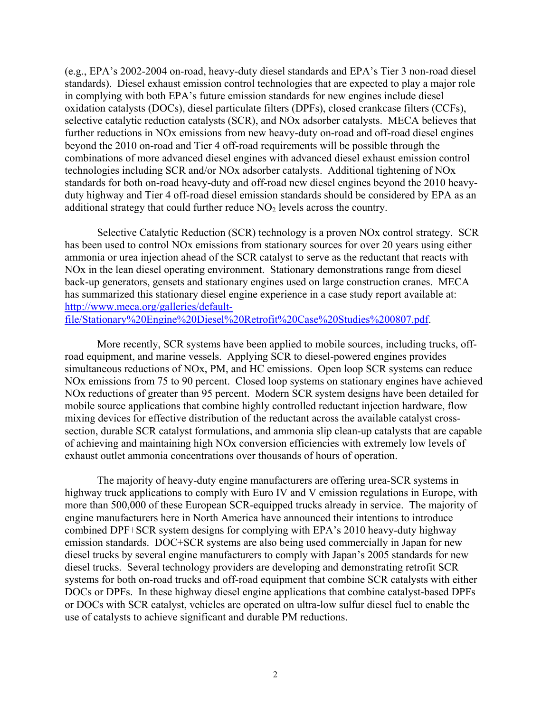(e.g., EPA's 2002-2004 on-road, heavy-duty diesel standards and EPA's Tier 3 non-road diesel standards). Diesel exhaust emission control technologies that are expected to play a major role in complying with both EPA's future emission standards for new engines include diesel oxidation catalysts (DOCs), diesel particulate filters (DPFs), closed crankcase filters (CCFs), selective catalytic reduction catalysts (SCR), and NOx adsorber catalysts. MECA believes that further reductions in NOx emissions from new heavy-duty on-road and off-road diesel engines beyond the 2010 on-road and Tier 4 off-road requirements will be possible through the combinations of more advanced diesel engines with advanced diesel exhaust emission control technologies including SCR and/or NOx adsorber catalysts. Additional tightening of NOx standards for both on-road heavy-duty and off-road new diesel engines beyond the 2010 heavyduty highway and Tier 4 off-road diesel emission standards should be considered by EPA as an additional strategy that could further reduce  $NO<sub>2</sub>$  levels across the country.

Selective Catalytic Reduction (SCR) technology is a proven NOx control strategy. SCR has been used to control NOx emissions from stationary sources for over 20 years using either ammonia or urea injection ahead of the SCR catalyst to serve as the reductant that reacts with NOx in the lean diesel operating environment. Stationary demonstrations range from diesel back-up generators, gensets and stationary engines used on large construction cranes. MECA has summarized this stationary diesel engine experience in a case study report available at: http://www.meca.org/galleries/default-

file/Stationary%20Engine%20Diesel%20Retrofit%20Case%20Studies%200807.pdf.

More recently, SCR systems have been applied to mobile sources, including trucks, offroad equipment, and marine vessels. Applying SCR to diesel-powered engines provides simultaneous reductions of NOx, PM, and HC emissions. Open loop SCR systems can reduce NOx emissions from 75 to 90 percent. Closed loop systems on stationary engines have achieved NOx reductions of greater than 95 percent. Modern SCR system designs have been detailed for mobile source applications that combine highly controlled reductant injection hardware, flow mixing devices for effective distribution of the reductant across the available catalyst crosssection, durable SCR catalyst formulations, and ammonia slip clean-up catalysts that are capable of achieving and maintaining high NOx conversion efficiencies with extremely low levels of exhaust outlet ammonia concentrations over thousands of hours of operation.

The majority of heavy-duty engine manufacturers are offering urea-SCR systems in highway truck applications to comply with Euro IV and V emission regulations in Europe, with more than 500,000 of these European SCR-equipped trucks already in service. The majority of engine manufacturers here in North America have announced their intentions to introduce combined DPF+SCR system designs for complying with EPA's 2010 heavy-duty highway emission standards. DOC+SCR systems are also being used commercially in Japan for new diesel trucks by several engine manufacturers to comply with Japan's 2005 standards for new diesel trucks. Several technology providers are developing and demonstrating retrofit SCR systems for both on-road trucks and off-road equipment that combine SCR catalysts with either DOCs or DPFs. In these highway diesel engine applications that combine catalyst-based DPFs or DOCs with SCR catalyst, vehicles are operated on ultra-low sulfur diesel fuel to enable the use of catalysts to achieve significant and durable PM reductions.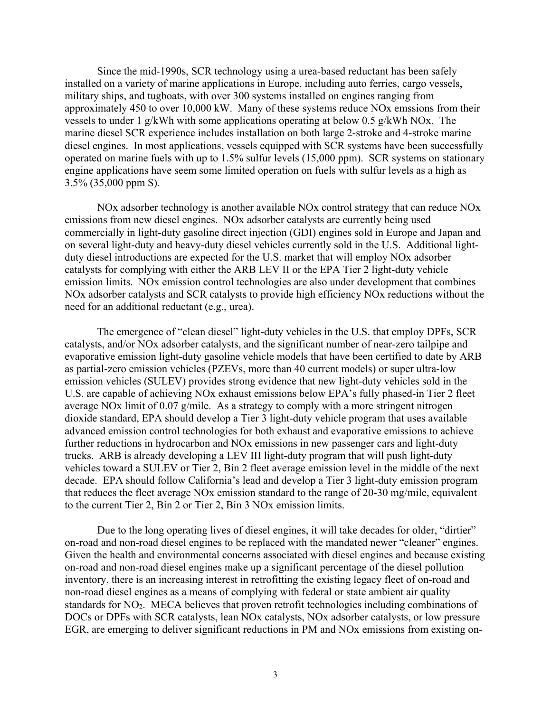Since the mid-1990s, SCR technology using a urea-based reductant has been safely installed on a variety of marine applications in Europe, including auto ferries, cargo vessels, military ships, and tugboats, with over 300 systems installed on engines ranging from approximately 450 to over 10,000 kW. Many of these systems reduce NOx emssions from their vessels to under 1 g/kWh with some applications operating at below 0.5 g/kWh NOx. The marine diesel SCR experience includes installation on both large 2-stroke and 4-stroke marine diesel engines. In most applications, vessels equipped with SCR systems have been successfully operated on marine fuels with up to 1.5% sulfur levels (15,000 ppm). SCR systems on stationary engine applications have seem some limited operation on fuels with sulfur levels as a high as 3.5% (35,000 ppm S).

NOx adsorber technology is another available NOx control strategy that can reduce NOx emissions from new diesel engines. NOx adsorber catalysts are currently being used commercially in light-duty gasoline direct injection (GDI) engines sold in Europe and Japan and on several light-duty and heavy-duty diesel vehicles currently sold in the U.S. Additional lightduty diesel introductions are expected for the U.S. market that will employ NOx adsorber catalysts for complying with either the ARB LEV II or the EPA Tier 2 light-duty vehicle emission limits. NOx emission control technologies are also under development that combines NOx adsorber catalysts and SCR catalysts to provide high efficiency NOx reductions without the need for an additional reductant (e.g., urea).

The emergence of "clean diesel" light-duty vehicles in the U.S. that employ DPFs, SCR catalysts, and/or NOx adsorber catalysts, and the significant number of near-zero tailpipe and evaporative emission light-duty gasoline vehicle models that have been certified to date by ARB as partial-zero emission vehicles (PZEVs, more than 40 current models) or super ultra-low emission vehicles (SULEV) provides strong evidence that new light-duty vehicles sold in the U.S. are capable of achieving NOx exhaust emissions below EPA's fully phased-in Tier 2 fleet average NOx limit of 0.07 g/mile. As a strategy to comply with a more stringent nitrogen dioxide standard, EPA should develop a Tier 3 light-duty vehicle program that uses available advanced emission control technologies for both exhaust and evaporative emissions to achieve further reductions in hydrocarbon and NOx emissions in new passenger cars and light-duty trucks. ARB is already developing a LEV III light-duty program that will push light-duty vehicles toward a SULEV or Tier 2, Bin 2 fleet average emission level in the middle of the next decade. EPA should follow California's lead and develop a Tier 3 light-duty emission program that reduces the fleet average NOx emission standard to the range of 20-30 mg/mile, equivalent to the current Tier 2, Bin 2 or Tier 2, Bin 3 NOx emission limits.

Due to the long operating lives of diesel engines, it will take decades for older, "dirtier" on-road and non-road diesel engines to be replaced with the mandated newer "cleaner" engines. Given the health and environmental concerns associated with diesel engines and because existing on-road and non-road diesel engines make up a significant percentage of the diesel pollution inventory, there is an increasing interest in retrofitting the existing legacy fleet of on-road and non-road diesel engines as a means of complying with federal or state ambient air quality standards for NO<sub>2</sub>. MECA believes that proven retrofit technologies including combinations of DOCs or DPFs with SCR catalysts, lean NOx catalysts, NOx adsorber catalysts, or low pressure EGR, are emerging to deliver significant reductions in PM and NOx emissions from existing on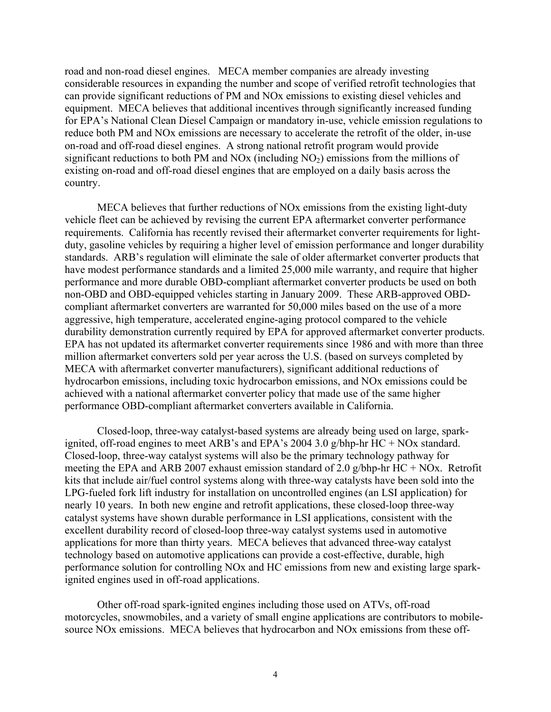road and non-road diesel engines. MECA member companies are already investing considerable resources in expanding the number and scope of verified retrofit technologies that can provide significant reductions of PM and NOx emissions to existing diesel vehicles and equipment. MECA believes that additional incentives through significantly increased funding for EPA's National Clean Diesel Campaign or mandatory in-use, vehicle emission regulations to reduce both PM and NOx emissions are necessary to accelerate the retrofit of the older, in-use on-road and off-road diesel engines. A strong national retrofit program would provide significant reductions to both PM and NOx (including  $NO<sub>2</sub>$ ) emissions from the millions of existing on-road and off-road diesel engines that are employed on a daily basis across the country.

MECA believes that further reductions of NOx emissions from the existing light-duty vehicle fleet can be achieved by revising the current EPA aftermarket converter performance requirements. California has recently revised their aftermarket converter requirements for lightduty, gasoline vehicles by requiring a higher level of emission performance and longer durability standards. ARB's regulation will eliminate the sale of older aftermarket converter products that have modest performance standards and a limited 25,000 mile warranty, and require that higher performance and more durable OBD-compliant aftermarket converter products be used on both non-OBD and OBD-equipped vehicles starting in January 2009. These ARB-approved OBDcompliant aftermarket converters are warranted for 50,000 miles based on the use of a more aggressive, high temperature, accelerated engine-aging protocol compared to the vehicle durability demonstration currently required by EPA for approved aftermarket converter products. EPA has not updated its aftermarket converter requirements since 1986 and with more than three million aftermarket converters sold per year across the U.S. (based on surveys completed by MECA with aftermarket converter manufacturers), significant additional reductions of hydrocarbon emissions, including toxic hydrocarbon emissions, and NOx emissions could be achieved with a national aftermarket converter policy that made use of the same higher performance OBD-compliant aftermarket converters available in California.

Closed-loop, three-way catalyst-based systems are already being used on large, sparkignited, off-road engines to meet ARB's and EPA's 2004 3.0 g/bhp-hr HC + NOx standard. Closed-loop, three-way catalyst systems will also be the primary technology pathway for meeting the EPA and ARB 2007 exhaust emission standard of 2.0 g/bhp-hr  $HC + NOx$ . Retrofit kits that include air/fuel control systems along with three-way catalysts have been sold into the LPG-fueled fork lift industry for installation on uncontrolled engines (an LSI application) for nearly 10 years. In both new engine and retrofit applications, these closed-loop three-way catalyst systems have shown durable performance in LSI applications, consistent with the excellent durability record of closed-loop three-way catalyst systems used in automotive applications for more than thirty years. MECA believes that advanced three-way catalyst technology based on automotive applications can provide a cost-effective, durable, high performance solution for controlling NOx and HC emissions from new and existing large sparkignited engines used in off-road applications.

Other off-road spark-ignited engines including those used on ATVs, off-road motorcycles, snowmobiles, and a variety of small engine applications are contributors to mobilesource NOx emissions. MECA believes that hydrocarbon and NOx emissions from these off-